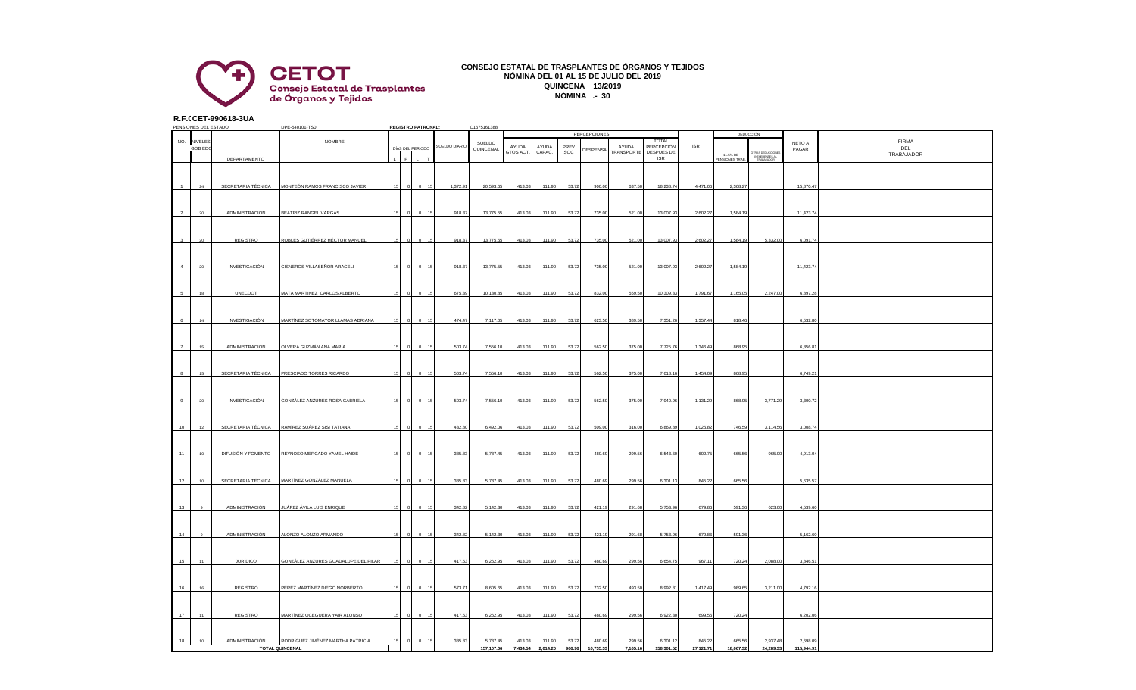

## **CONSEJO ESTATAL DE TRASPLANTES DE ÓRGANOS Y TEJIDOS NÓMINA DEL 01 AL 15 DE JULIO DEL 2019 QUINCENA 13/2019 NÓMINA .- 30**

**R.F.C.CET-990618-3UA**

| PENSIONES DEL ESTADO |                |                      | DPE-540101-TS0                                 | <b>REGISTRO PATRONAL:</b> |            | C1675161388                  |               |            |           |          |        |                     |                   |                            |            |                          |                                                 |            |                   |
|----------------------|----------------|----------------------|------------------------------------------------|---------------------------|------------|------------------------------|---------------|------------|-----------|----------|--------|---------------------|-------------------|----------------------------|------------|--------------------------|-------------------------------------------------|------------|-------------------|
|                      |                |                      |                                                |                           |            |                              |               |            |           |          |        | <b>PERCEPCIONES</b> |                   |                            |            |                          | DEDUCCIÓN                                       |            |                   |
|                      | NO. NIVELES    |                      | NOMBRE                                         |                           |            |                              | SUELDO DIARIO | SUELDO     | AYUDA     | AYUDA    | PREV   |                     | AYUDA             | <b>TOTAL</b><br>PERCEPCIÓN | <b>ISR</b> |                          |                                                 | NETO A     | <b>FIRMA</b>      |
|                      | <b>GOB EDC</b> |                      |                                                |                           |            | DÍAS DEL PERIODO             |               | QUINCENAL  | GTOS ACT. | CAPAC.   | SOC    | DESPENSA            | <b>TRANSPORTE</b> | DESPUES DE                 |            |                          | TRAS DEDUCCIONE<br>INEHERENTES AL<br>TRABAJADOR | PAGAR      | DEL<br>TRABAJADOR |
|                      |                | DEPARTAMENTO         |                                                |                           | $\epsilon$ | $\mathbf{L}$<br>$\mathbf{r}$ |               |            |           |          |        |                     |                   | <b>ISR</b>                 |            | 11.5% DE<br>ENSIONES TRA |                                                 |            |                   |
|                      |                |                      |                                                |                           |            |                              |               |            |           |          |        |                     |                   |                            |            |                          |                                                 |            |                   |
|                      |                |                      |                                                |                           |            |                              |               |            |           |          |        |                     |                   |                            |            |                          |                                                 |            |                   |
|                      | 24             | SECRETARIA TÉCNICA   | MONTEÓN RAMOS FRANCISCO JAVIER                 |                           |            |                              | 1,372.91      | 20,593.65  | 413.03    | 111.90   | 53.72  | 900.00              | 637.50            | 18,238.74                  | 4,471.06   | 2,368.27                 |                                                 | 15,870.47  |                   |
|                      |                |                      |                                                |                           |            |                              |               |            |           |          |        |                     |                   |                            |            |                          |                                                 |            |                   |
|                      |                |                      |                                                |                           |            |                              |               |            |           |          |        |                     |                   |                            |            |                          |                                                 |            |                   |
| $\overline{2}$       | 20             | ADMINISTRACIÓN       | BEATRIZ RANGEL VARGAS                          |                           |            |                              | 918.37        | 13,775.55  | 413.03    | 111.90   | 53.72  | 735.00              | 521.00            | 13,007.93                  | 2,602.27   | 1,584.19                 |                                                 | 11,423.74  |                   |
|                      |                |                      |                                                |                           |            |                              |               |            |           |          |        |                     |                   |                            |            |                          |                                                 |            |                   |
|                      |                |                      |                                                |                           |            |                              |               |            |           |          |        |                     |                   |                            |            |                          |                                                 |            |                   |
|                      |                |                      |                                                |                           |            |                              |               |            |           |          |        |                     |                   |                            |            |                          |                                                 |            |                   |
| $\mathbf{a}$         | 20             | REGISTRO             | ROBLES GUTIÉRREZ HÉCTOR MANUEL                 |                           |            |                              | 918.37        | 13,775.55  | 413.03    | 111.90   | 53.72  | 735.00              | 521.00            | 13,007.93                  | 2,602.27   | 1,584.19                 | 5,332.00                                        | 6,091.74   |                   |
|                      |                |                      |                                                |                           |            |                              |               |            |           |          |        |                     |                   |                            |            |                          |                                                 |            |                   |
|                      |                |                      |                                                |                           |            |                              |               |            |           |          |        |                     |                   |                            |            |                          |                                                 |            |                   |
| $\overline{4}$       | 20             | INVESTIGACIÓN        | CISNEROS VILLASEÑOR ARACELI                    | 15                        |            |                              | 918.37        | 13,775.55  | 413.03    | 111.90   | 53.72  | 735.00              | 521.00            | 13,007.9                   | 2,602.27   | 1,584.1                  |                                                 | 11,423.7   |                   |
|                      |                |                      |                                                |                           |            |                              |               |            |           |          |        |                     |                   |                            |            |                          |                                                 |            |                   |
|                      |                |                      |                                                |                           |            |                              |               |            |           |          |        |                     |                   |                            |            |                          |                                                 |            |                   |
| 5                    | $18\,$         | UNECDOT              | MATA MARTINEZ CARLOS ALBERTO                   | 15                        |            | 15                           | 675.39        | 10,130.85  | 413.03    | 111.90   | 53.72  | 832.00              | 559.50            | 10,309.33                  | 1,791.67   | 1,165.05                 | 2,247.00                                        | 6,897.28   |                   |
|                      |                |                      |                                                |                           |            |                              |               |            |           |          |        |                     |                   |                            |            |                          |                                                 |            |                   |
|                      |                |                      |                                                |                           |            |                              |               |            |           |          |        |                     |                   |                            |            |                          |                                                 |            |                   |
| -6                   | 14             | <b>INVESTIGACIÓN</b> | MARTÍNEZ SOTOMAYOR LLAMAS ADRIANA              | 15                        |            |                              | 474.47        | 7,117.05   | 413.03    | 111.90   | 53.72  | 623.50              | 389.50            | 7,351.26                   | 1,357.44   | 818.46                   |                                                 | 6,532.80   |                   |
|                      |                |                      |                                                |                           |            |                              |               |            |           |          |        |                     |                   |                            |            |                          |                                                 |            |                   |
|                      |                |                      |                                                |                           |            |                              |               |            |           |          |        |                     |                   |                            |            |                          |                                                 |            |                   |
| $\overline{7}$       | 15             | ADMINISTRACIÓN       | OLVERA GUZMÁN ANA MARÍA                        |                           |            |                              | 503.74        | 7,556.10   | 413.03    | 111.90   | 53.72  | 562.50              | 375.00            | 7,725.76                   | 1,346.49   | 868.95                   |                                                 | 6,856.8    |                   |
|                      |                |                      |                                                |                           |            |                              |               |            |           |          |        |                     |                   |                            |            |                          |                                                 |            |                   |
|                      |                |                      |                                                |                           |            |                              |               |            |           |          |        |                     |                   |                            |            |                          |                                                 |            |                   |
| $\mathbf{a}$         | 15             |                      | SECRETARIA TÉCNICA PRESCIADO TORRES RICARDO    |                           |            |                              | 503.74        | 7,556.10   | 413.03    | 111.90   | 53.72  | 562.50              | 375.00            | 7,618.1                    | 1,454.09   | 868.95                   |                                                 | 6,749.21   |                   |
|                      |                |                      |                                                |                           |            |                              |               |            |           |          |        |                     |                   |                            |            |                          |                                                 |            |                   |
|                      |                |                      |                                                |                           |            |                              |               |            |           |          |        |                     |                   |                            |            |                          |                                                 |            |                   |
| 9                    | $20\,$         | INVESTIGACIÓN        | GONZÁLEZ ANZURES ROSA GABRIELA                 |                           |            |                              | 503.74        | 7,556.10   | 413.03    | 111.90   | 53.72  | 562.50              | 375.00            | 7,940.96                   | 1,131.29   | 868.95                   | 3,771.29                                        | 3,300.72   |                   |
|                      |                |                      |                                                |                           |            |                              |               |            |           |          |        |                     |                   |                            |            |                          |                                                 |            |                   |
|                      |                |                      |                                                |                           |            |                              |               |            |           |          |        |                     |                   |                            |            |                          |                                                 |            |                   |
| 10                   | 12             |                      | SECRETARIA TÉCNICA RAMÍREZ SUÁREZ SISI TATIANA |                           |            |                              | 432.80        | 6,492.06   | 413.03    | 111.90   | 53.72  | 509.00              | 316.00            | 6,869.89                   | 1,025.82   | 746.59                   | 3,114.56                                        | 3,008.74   |                   |
|                      |                |                      |                                                |                           |            |                              |               |            |           |          |        |                     |                   |                            |            |                          |                                                 |            |                   |
|                      |                |                      |                                                |                           |            |                              |               |            |           |          |        |                     |                   |                            |            |                          |                                                 |            |                   |
| 11                   | 10             |                      | DIFUSIÓN Y FOMENTO REYNOSO MERCADO YAMEL HAIDE |                           |            |                              | 385.8         | 5,787.45   | 413.03    | 111.90   | 53.72  | 480.69              | 299.56            | 6,543.60                   | 602.75     | 665.56                   | 965.00                                          | 4,913.04   |                   |
|                      |                |                      |                                                |                           |            |                              |               |            |           |          |        |                     |                   |                            |            |                          |                                                 |            |                   |
|                      |                |                      |                                                |                           |            |                              |               |            |           |          |        |                     |                   |                            |            |                          |                                                 |            |                   |
| 12                   | 10             | SECRETARIA TÉCNICA   | MARTÍNEZ GONZÁLEZ MANUELA                      |                           |            |                              |               | 5,787.45   |           |          | 53.72  | 480.69              |                   |                            | 845.22     |                          |                                                 | 5,635.57   |                   |
|                      |                |                      |                                                |                           |            |                              | 385.83        |            | 413.03    | 111.90   |        |                     | 299.56            | 6,301.1                    |            | 665.56                   |                                                 |            |                   |
|                      |                |                      |                                                |                           |            |                              |               |            |           |          |        |                     |                   |                            |            |                          |                                                 |            |                   |
|                      |                |                      |                                                |                           |            |                              |               |            |           |          |        |                     |                   |                            |            |                          |                                                 |            |                   |
| 13                   | $\mathbf{Q}$   | ADMINISTRACIÓN       | JUÁREZ ÁVILA LUÍS ENRIQUE                      | 15                        |            | 15                           | 342.82        | 5,142.30   | 413.03    | 111.90   | 53.72  | 421.19              | 291.68            | 5,753.96                   | 679.86     | 591.36                   | 623.00                                          | 4,539.60   |                   |
|                      |                |                      |                                                |                           |            |                              |               |            |           |          |        |                     |                   |                            |            |                          |                                                 |            |                   |
|                      |                |                      |                                                |                           |            |                              |               |            |           |          |        |                     |                   |                            |            |                          |                                                 |            |                   |
| 14                   |                | ADMINISTRACIÓN       | ALONZO ALONZO ARMANDO                          |                           |            |                              | 342.82        | 5,142.30   | 413.03    | 111.90   | 53.72  | 421.19              | 291.68            | 5,753.9                    | 679.86     | 591.3                    |                                                 | 5,162.60   |                   |
|                      |                |                      |                                                |                           |            |                              |               |            |           |          |        |                     |                   |                            |            |                          |                                                 |            |                   |
|                      |                |                      |                                                |                           |            |                              |               |            |           |          |        |                     |                   |                            |            |                          |                                                 |            |                   |
| 15                   | 11             | <b>JURÍDICO</b>      | GONZÁLEZ ANZURES GUADALUPE DEL PILAR           |                           |            | 15                           | 417.53        | 6,262.95   | 413.03    | 111.90   | 53.72  | 480.69              | 299.56            | 6,654.75                   | 967.11     | 720.24                   | 2,088.00                                        | 3,846.51   |                   |
|                      |                |                      |                                                |                           |            |                              |               |            |           |          |        |                     |                   |                            |            |                          |                                                 |            |                   |
|                      |                |                      |                                                |                           |            |                              |               |            |           |          |        |                     |                   |                            |            |                          |                                                 |            |                   |
| 16                   | 16             | REGISTRO             | PEREZ MARTÍNEZ DIEGO NORBERTO                  | 15                        |            |                              | 573.71        | 8,605.65   | 413.03    | 111.90   | 53.72  | 732.50              | 493.50            | 8,992.81                   | 1,417.49   | 989.65                   | 3,211.00                                        | 4,792.16   |                   |
|                      |                |                      |                                                |                           |            |                              |               |            |           |          |        |                     |                   |                            |            |                          |                                                 |            |                   |
|                      |                |                      |                                                |                           |            |                              |               |            |           |          |        |                     |                   |                            |            |                          |                                                 |            |                   |
| 17                   | 11             | REGISTRO             | MARTÍNEZ OCEGUERA YAIR ALONSO                  |                           |            |                              | 417.53        | 6,262.95   | 413.03    | 111.90   | 53.72  | 480.69              | 299.56            | 6,922.3                    | 699.55     | 720.24                   |                                                 | 6,202.06   |                   |
|                      |                |                      |                                                |                           |            |                              |               |            |           |          |        |                     |                   |                            |            |                          |                                                 |            |                   |
|                      |                |                      |                                                |                           |            |                              |               |            |           |          |        |                     |                   |                            |            |                          |                                                 |            |                   |
| 18                   | 10             | ADMINISTRACIÓN       | RODRÍGUEZ JIMÉNEZ MARTHA PATRICIA              | 15                        |            | 15                           | 385.83        | 5,787.45   | 413.03    | 111.90   | 53.72  | 480.69              | 299.56            | 6,301.12                   | 845.22     | 665.56                   | 2,937.48                                        | 2.698.09   |                   |
|                      |                |                      | <b>TOTAL QUINCENAL</b>                         |                           |            |                              |               | 157,107.06 | 7.434.54  | 2.014.20 | 966.96 | 10.735.33           | 7.165.16          | 158,301.52                 | 27.121.71  | 18.067.32                | 24.289.33                                       | 115,944.91 |                   |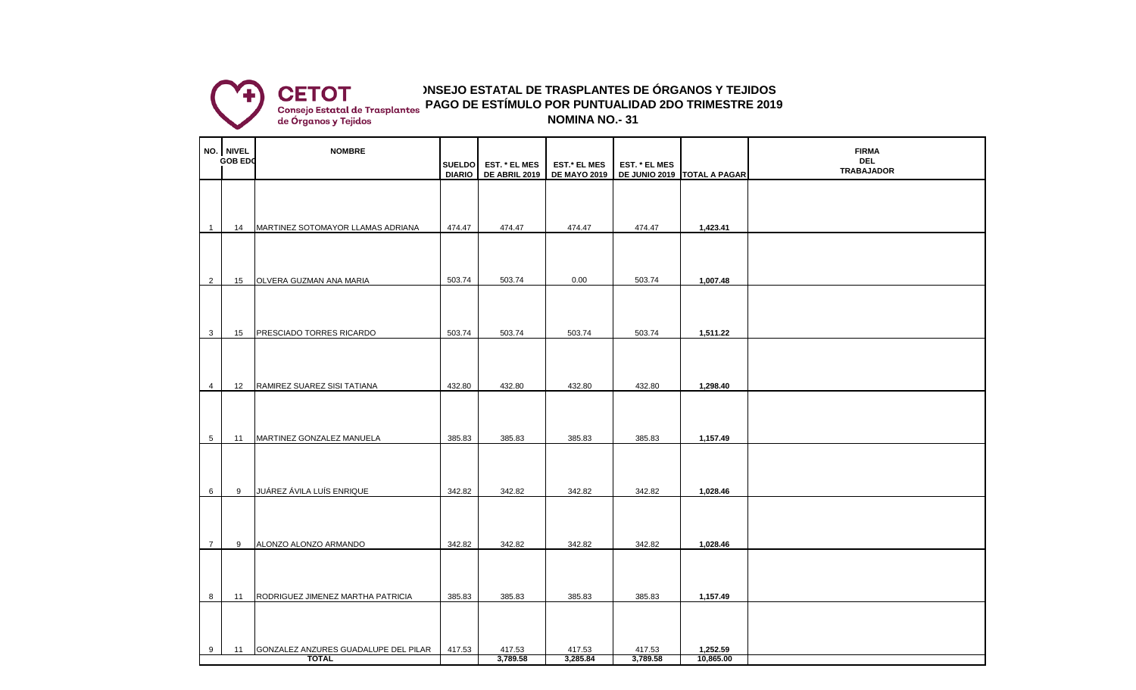

## **CONSEJO ESTATAL DE TRASPLANTES DE ÓRGANOS Y TEJIDOS NOMINA NO.- 31 PAGO DE ESTÍMULO POR PUNTUALIDAD 2DO TRIMESTRE 2019**

| NO. NIVEL<br><b>GOB EDO</b> |    | <b>NOMBRE</b>                                        |                                |                                       |                                            |                    |                             | <b>FIRMA</b><br><b>DEL</b> |
|-----------------------------|----|------------------------------------------------------|--------------------------------|---------------------------------------|--------------------------------------------|--------------------|-----------------------------|----------------------------|
|                             |    |                                                      | <b>SUELDO</b><br><b>DIARIO</b> | EST. * EL MES<br><b>DE ABRIL 2019</b> | <b>EST.* EL MES</b><br><b>DE MAYO 2019</b> | EST. * EL MES      | DE JUNIO 2019 TOTAL A PAGAR | <b>TRABAJADOR</b>          |
|                             |    |                                                      |                                |                                       |                                            |                    |                             |                            |
| $\overline{1}$              | 14 | MARTINEZ SOTOMAYOR LLAMAS ADRIANA                    | 474.47                         | 474.47                                | 474.47                                     | 474.47             | 1,423.41                    |                            |
| $\overline{2}$              | 15 | OLVERA GUZMAN ANA MARIA                              | 503.74                         | 503.74                                | 0.00                                       | 503.74             | 1,007.48                    |                            |
| 3                           | 15 | PRESCIADO TORRES RICARDO                             | 503.74                         | 503.74                                | 503.74                                     | 503.74             | 1,511.22                    |                            |
| $\overline{4}$              | 12 | RAMIREZ SUAREZ SISI TATIANA                          | 432.80                         | 432.80                                | 432.80                                     | 432.80             | 1,298.40                    |                            |
| $5\overline{)}$             | 11 | MARTINEZ GONZALEZ MANUELA                            | 385.83                         | 385.83                                | 385.83                                     | 385.83             | 1,157.49                    |                            |
| 6                           | 9  | JUÁREZ ÁVILA LUÍS ENRIQUE                            | 342.82                         | 342.82                                | 342.82                                     | 342.82             | 1,028.46                    |                            |
| $\overline{7}$              | 9  | ALONZO ALONZO ARMANDO                                | 342.82                         | 342.82                                | 342.82                                     | 342.82             | 1,028.46                    |                            |
| 8                           | 11 | RODRIGUEZ JIMENEZ MARTHA PATRICIA                    | 385.83                         | 385.83                                | 385.83                                     | 385.83             | 1,157.49                    |                            |
| 9                           | 11 | GONZALEZ ANZURES GUADALUPE DEL PILAR<br><b>TOTAL</b> | 417.53                         | 417.53<br>3,789.58                    | 417.53<br>3,285.84                         | 417.53<br>3,789.58 | 1,252.59<br>10,865.00       |                            |